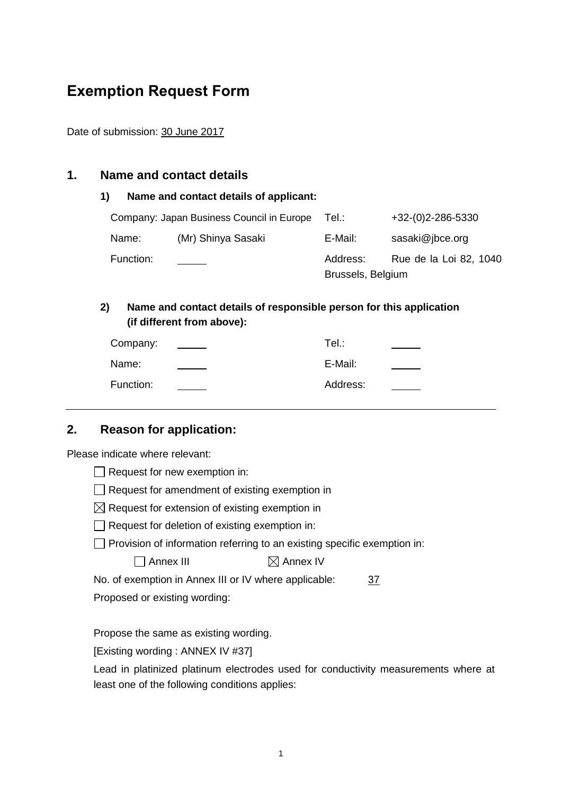# **Exemption Request Form**

Date of submission: 30 June 2017

#### **1. Name and contact details**

#### **1) Name and contact details of applicant:**

|           | Company: Japan Business Council in Europe | Tel∴              | $+32-(0)2-286-5330$    |
|-----------|-------------------------------------------|-------------------|------------------------|
| Name:     | (Mr) Shinya Sasaki                        | E-Mail:           | sasaki@jbce.org        |
| Function: |                                           | Address:          | Rue de la Loi 82, 1040 |
|           |                                           | Brussels, Belgium |                        |

# **2) Name and contact details of responsible person for this application (if different from above):**

| Company:  | Tel∴     |  |
|-----------|----------|--|
| Name:     | E-Mail:  |  |
| Function: | Address: |  |

# **2. Reason for application:**

Please indicate where relevant:

| Request for new exemption in: |  |  |  |  |  |
|-------------------------------|--|--|--|--|--|
|-------------------------------|--|--|--|--|--|

 $\Box$  Request for amendment of existing exemption in

 $\boxtimes$  Request for extension of existing exemption in

| $\Box$ Request for deletion of existing exemption in: |
|-------------------------------------------------------|
|-------------------------------------------------------|

 $\Box$  Provision of information referring to an existing specific exemption in:

 $\Box$  Annex III  $\boxtimes$  Annex IV

No. of exemption in Annex III or IV where applicable: 37

Proposed or existing wording:

Propose the same as existing wording.

[Existing wording : ANNEX IV #37]

Lead in platinized platinum electrodes used for conductivity measurements where at least one of the following conditions applies: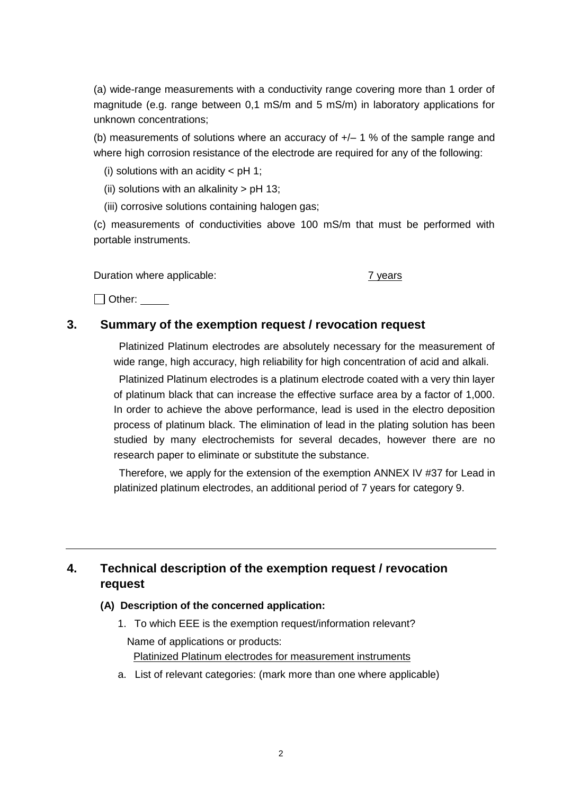(a) wide-range measurements with a conductivity range covering more than 1 order of magnitude (e.g. range between 0,1 mS/m and 5 mS/m) in laboratory applications for unknown concentrations;

(b) measurements of solutions where an accuracy of  $+/- 1$  % of the sample range and where high corrosion resistance of the electrode are required for any of the following:

- (i) solutions with an acidity  $<$  pH 1;
- (ii) solutions with an alkalinity  $>$  pH 13;

(iii) corrosive solutions containing halogen gas;

(c) measurements of conductivities above 100 mS/m that must be performed with portable instruments.

Duration where applicable: The matrix of the 2 years of the 2 years of the 2 years of the 2 years of the 2 years

Other:

#### **3. Summary of the exemption request / revocation request**

Platinized Platinum electrodes are absolutely necessary for the measurement of wide range, high accuracy, high reliability for high concentration of acid and alkali.

Platinized Platinum electrodes is a platinum electrode coated with a very thin layer of platinum black that can increase the effective surface area by a factor of 1,000. In order to achieve the above performance, lead is used in the electro deposition process of platinum black. The elimination of lead in the plating solution has been studied by many electrochemists for several decades, however there are no research paper to eliminate or substitute the substance.

Therefore, we apply for the extension of the exemption ANNEX IV #37 for Lead in platinized platinum electrodes, an additional period of 7 years for category 9.

# **4. Technical description of the exemption request / revocation request**

#### **(A) Description of the concerned application:**

- 1. To which EEE is the exemption request/information relevant? Name of applications or products: Platinized Platinum electrodes for measurement instruments
- a. List of relevant categories: (mark more than one where applicable)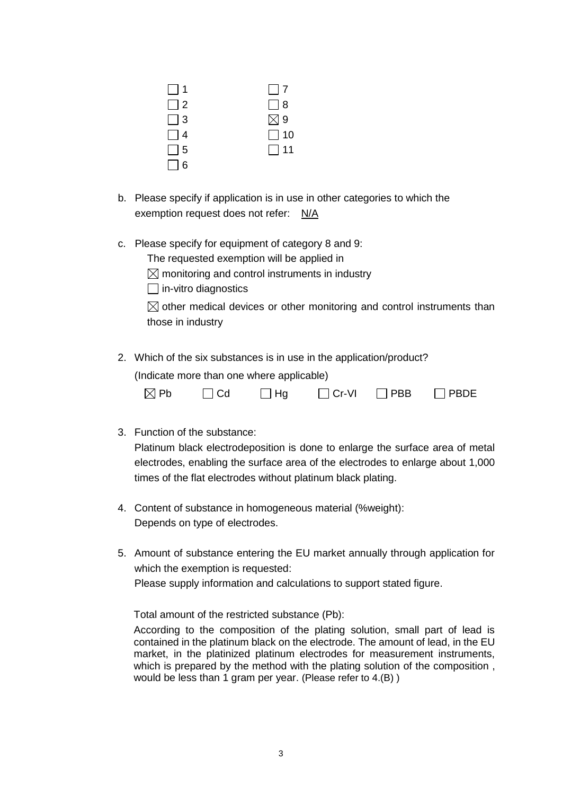| $\vert$   1 | $\Box$ 7      |
|-------------|---------------|
| $\Box$ 2    | $\Box$ 8      |
| $\Box$ 3    | $\boxtimes$ 9 |
| $\Box$ 4    | $\Box$ 10     |
| $\Box$ 5    | $\Box$ 11     |
| $\Box$ 6    |               |

- b. Please specify if application is in use in other categories to which the exemption request does not refer: N/A
- c. Please specify for equipment of category 8 and 9:

The requested exemption will be applied in

 $\boxtimes$  monitoring and control instruments in industry

 $\Box$  in-vitro diagnostics

 $\boxtimes$  other medical devices or other monitoring and control instruments than those in industry

2. Which of the six substances is in use in the application/product?

(Indicate more than one where applicable)

| $\boxtimes$ Pb | $\Box$ Cd | $\Box$ Hg | $\Box$ Cr-VI $\Box$ PBB | $\Box$ PBDE |
|----------------|-----------|-----------|-------------------------|-------------|
|                |           |           |                         |             |

3. Function of the substance:

Platinum black electrodeposition is done to enlarge the surface area of metal electrodes, enabling the surface area of the electrodes to enlarge about 1,000 times of the flat electrodes without platinum black plating.

- 4. Content of substance in homogeneous material (%weight): Depends on type of electrodes.
- 5. Amount of substance entering the EU market annually through application for which the exemption is requested: Please supply information and calculations to support stated figure.

Total amount of the restricted substance (Pb):

According to the composition of the plating solution, small part of lead is contained in the platinum black on the electrode. The amount of lead, in the EU market, in the platinized platinum electrodes for measurement instruments, which is prepared by the method with the plating solution of the composition, would be less than 1 gram per year. (Please refer to 4.(B) )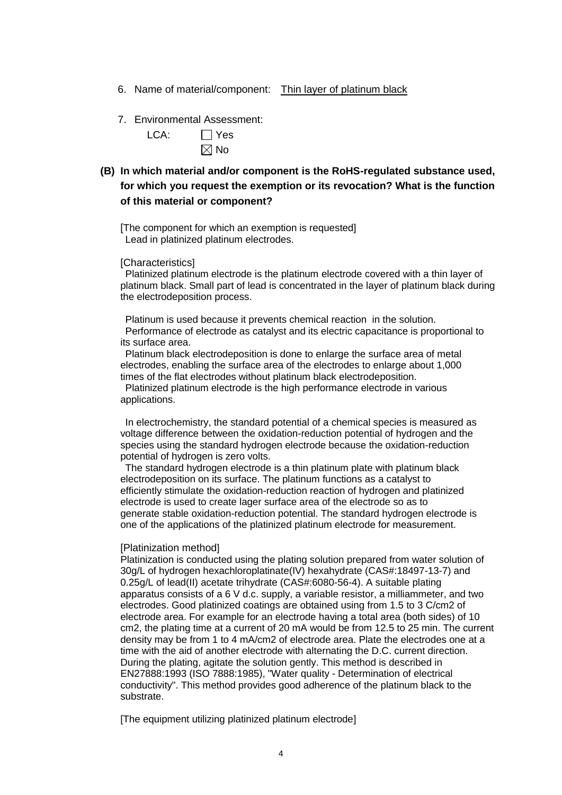- 6. Name of material/component: Thin layer of platinum black
- 7. Environmental Assessment:

| LCA: | $\Box$ Yes     |
|------|----------------|
|      | $\boxtimes$ No |

**(B) In which material and/or component is the RoHS-regulated substance used, for which you request the exemption or its revocation? What is the function of this material or component?**

[The component for which an exemption is requested] Lead in platinized platinum electrodes.

[Characteristics]

Platinized platinum electrode is the platinum electrode covered with a thin layer of platinum black. Small part of lead is concentrated in the layer of platinum black during the electrodeposition process.

Platinum is used because it prevents chemical reaction in the solution. Performance of electrode as catalyst and its electric capacitance is proportional to its surface area.

Platinum black electrodeposition is done to enlarge the surface area of metal electrodes, enabling the surface area of the electrodes to enlarge about 1,000 times of the flat electrodes without platinum black electrodeposition.

Platinized platinum electrode is the high performance electrode in various applications.

In electrochemistry, the standard potential of a chemical species is measured as voltage difference between the oxidation-reduction potential of hydrogen and the species using the standard hydrogen electrode because the oxidation-reduction potential of hydrogen is zero volts.

The standard hydrogen electrode is a thin platinum plate with platinum black electrodeposition on its surface. The platinum functions as a catalyst to efficiently stimulate the oxidation-reduction reaction of hydrogen and platinized electrode is used to create lager surface area of the electrode so as to generate stable oxidation-reduction potential. The standard hydrogen electrode is one of the applications of the platinized platinum electrode for measurement.

#### [Platinization method]

Platinization is conducted using the plating solution prepared from water solution of 30g/L of hydrogen hexachloroplatinate(IV) hexahydrate (CAS#:18497-13-7) and 0.25g/L of lead(II) acetate trihydrate (CAS#:6080-56-4). A suitable plating apparatus consists of a 6 V d.c. supply, a variable resistor, a milliammeter, and two electrodes. Good platinized coatings are obtained using from 1.5 to 3 C/cm2 of electrode area. For example for an electrode having a total area (both sides) of 10 cm2, the plating time at a current of 20 mA would be from 12.5 to 25 min. The current density may be from 1 to 4 mA/cm2 of electrode area. Plate the electrodes one at a time with the aid of another electrode with alternating the D.C. current direction. During the plating, agitate the solution gently. This method is described in EN27888:1993 (ISO 7888:1985), "Water quality - Determination of electrical conductivity". This method provides good adherence of the platinum black to the substrate.

[The equipment utilizing platinized platinum electrode]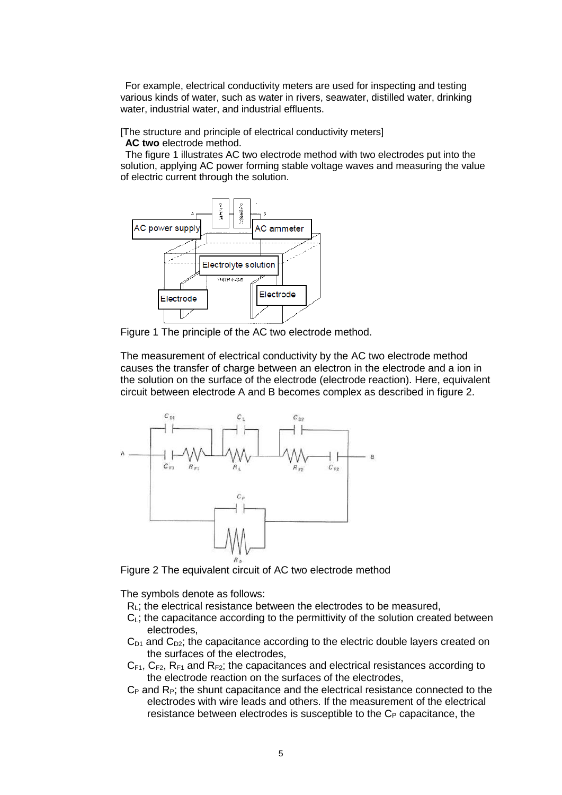For example, electrical conductivity meters are used for inspecting and testing various kinds of water, such as water in rivers, seawater, distilled water, drinking water, industrial water, and industrial effluents.

[The structure and principle of electrical conductivity meters]

**AC two** electrode method.

The figure 1 illustrates AC two electrode method with two electrodes put into the solution, applying AC power forming stable voltage waves and measuring the value of electric current through the solution.



Figure 1 The principle of the AC two electrode method.

The measurement of electrical conductivity by the AC two electrode method causes the transfer of charge between an electron in the electrode and a ion in the solution on the surface of the electrode (electrode reaction). Here, equivalent circuit between electrode A and B becomes complex as described in figure 2.



Figure 2 The equivalent circuit of AC two electrode method

The symbols denote as follows:

- $R<sub>l</sub>$ ; the electrical resistance between the electrodes to be measured,
- $C<sub>L</sub>$ ; the capacitance according to the permittivity of the solution created between electrodes,
- $C_{D1}$  and  $C_{D2}$ ; the capacitance according to the electric double layers created on the surfaces of the electrodes,
- $C_{F1}$ ,  $C_{F2}$ ,  $R_{F1}$  and  $R_{F2}$ ; the capacitances and electrical resistances according to the electrode reaction on the surfaces of the electrodes,
- $C_P$  and  $R_P$ ; the shunt capacitance and the electrical resistance connected to the electrodes with wire leads and others. If the measurement of the electrical resistance between electrodes is susceptible to the  $C_{P}$  capacitance, the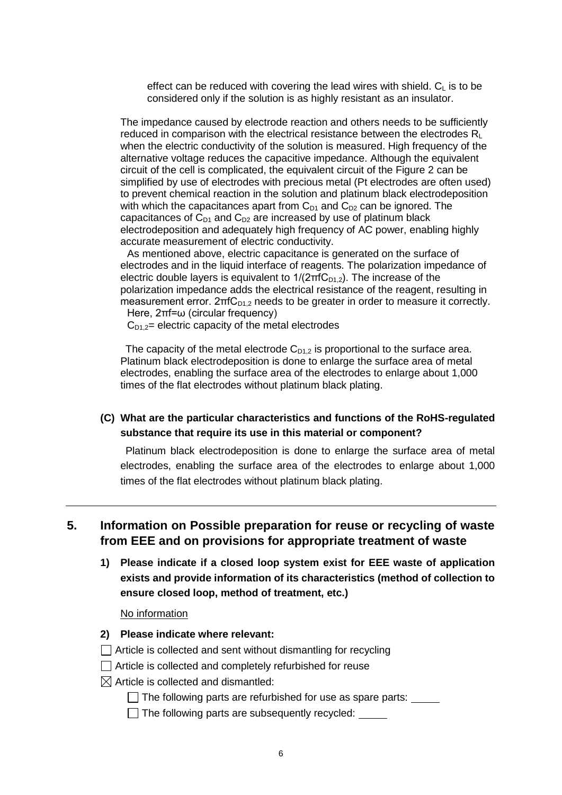effect can be reduced with covering the lead wires with shield.  $C_{L}$  is to be considered only if the solution is as highly resistant as an insulator.

The impedance caused by electrode reaction and others needs to be sufficiently reduced in comparison with the electrical resistance between the electrodes  $R_L$ when the electric conductivity of the solution is measured. High frequency of the alternative voltage reduces the capacitive impedance. Although the equivalent circuit of the cell is complicated, the equivalent circuit of the Figure 2 can be simplified by use of electrodes with precious metal (Pt electrodes are often used) to prevent chemical reaction in the solution and platinum black electrodeposition with which the capacitances apart from  $C_{D1}$  and  $C_{D2}$  can be ignored. The capacitances of  $C_{D1}$  and  $C_{D2}$  are increased by use of platinum black electrodeposition and adequately high frequency of AC power, enabling highly accurate measurement of electric conductivity.

As mentioned above, electric capacitance is generated on the surface of electrodes and in the liquid interface of reagents. The polarization impedance of electric double layers is equivalent to  $1/(2\pi fC_{D1,2})$ . The increase of the polarization impedance adds the electrical resistance of the reagent, resulting in measurement error.  $2\pi fC_{D1,2}$  needs to be greater in order to measure it correctly.

Here, 2πf=ω (circular frequency)  $C_{D1,2}=$  electric capacity of the metal electrodes

The capacity of the metal electrode  $C_{D1,2}$  is proportional to the surface area. Platinum black electrodeposition is done to enlarge the surface area of metal electrodes, enabling the surface area of the electrodes to enlarge about 1,000 times of the flat electrodes without platinum black plating.

**(C) What are the particular characteristics and functions of the RoHS-regulated substance that require its use in this material or component?**

Platinum black electrodeposition is done to enlarge the surface area of metal electrodes, enabling the surface area of the electrodes to enlarge about 1,000 times of the flat electrodes without platinum black plating.

## **5. Information on Possible preparation for reuse or recycling of waste from EEE and on provisions for appropriate treatment of waste**

**1) Please indicate if a closed loop system exist for EEE waste of application exists and provide information of its characteristics (method of collection to ensure closed loop, method of treatment, etc.)**

No information

- **2) Please indicate where relevant:**
- $\Box$  Article is collected and sent without dismantling for recycling
- $\Box$  Article is collected and completely refurbished for reuse
- $\boxtimes$  Article is collected and dismantled:
	- $\Box$  The following parts are refurbished for use as spare parts:
	- $\Box$  The following parts are subsequently recycled:  $\Box$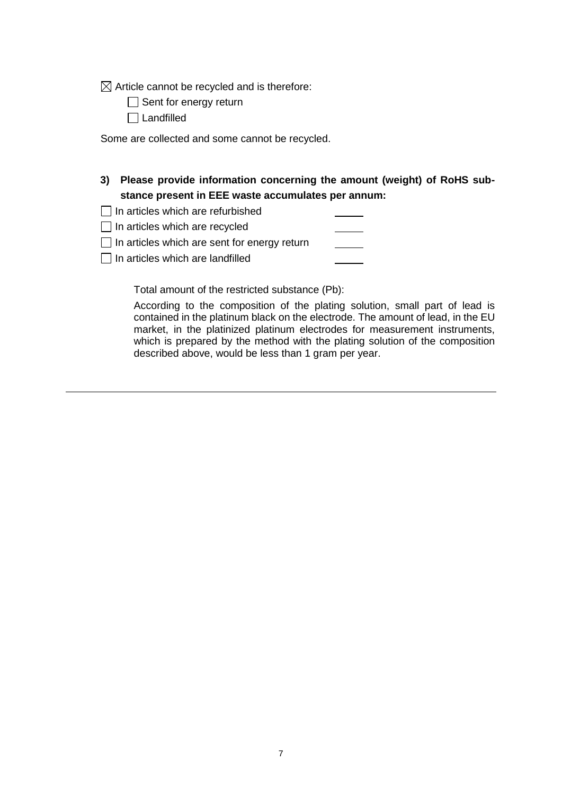$\boxtimes$  Article cannot be recycled and is therefore:

Sent for energy return

□ Landfilled

Some are collected and some cannot be recycled.

| 3) Please provide information concerning the amount (weight) of RoHS sub- |
|---------------------------------------------------------------------------|
| stance present in EEE waste accumulates per annum:                        |

| $\Box$ In articles which are refurbished |  |  |
|------------------------------------------|--|--|
|------------------------------------------|--|--|

 $\Box$  In articles which are recycled

 $\Box$  In articles which are sent for energy return

 $\Box$  In articles which are landfilled

Total amount of the restricted substance (Pb):

According to the composition of the plating solution, small part of lead is contained in the platinum black on the electrode. The amount of lead, in the EU market, in the platinized platinum electrodes for measurement instruments, which is prepared by the method with the plating solution of the composition described above, would be less than 1 gram per year.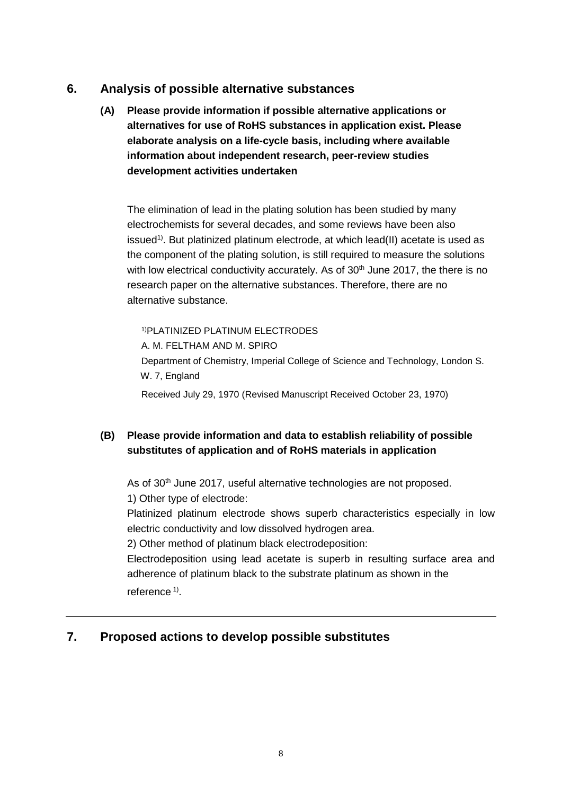# **6. Analysis of possible alternative substances**

**(A) Please provide information if possible alternative applications or alternatives for use of RoHS substances in application exist. Please elaborate analysis on a life-cycle basis, including where available information about independent research, peer-review studies development activities undertaken**

The elimination of lead in the plating solution has been studied by many electrochemists for several decades, and some reviews have been also issued<sup>1)</sup>. But platinized platinum electrode, at which lead(II) acetate is used as the component of the plating solution, is still required to measure the solutions with low electrical conductivity accurately. As of  $30<sup>th</sup>$  June 2017, the there is no research paper on the alternative substances. Therefore, there are no alternative substance.

1)PLATINIZED PLATINUM ELECTRODES

A. M. FELTHAM AND M. SPIRO

Department of Chemistry, Imperial College of Science and Technology, London S. W. 7, England

Received July 29, 1970 (Revised Manuscript Received October 23, 1970)

### **(B) Please provide information and data to establish reliability of possible substitutes of application and of RoHS materials in application**

As of 30<sup>th</sup> June 2017, useful alternative technologies are not proposed. 1) Other type of electrode:

Platinized platinum electrode shows superb characteristics especially in low electric conductivity and low dissolved hydrogen area.

2) Other method of platinum black electrodeposition:

Electrodeposition using lead acetate is superb in resulting surface area and adherence of platinum black to the substrate platinum as shown in the reference<sup>1)</sup>.

# **7. Proposed actions to develop possible substitutes**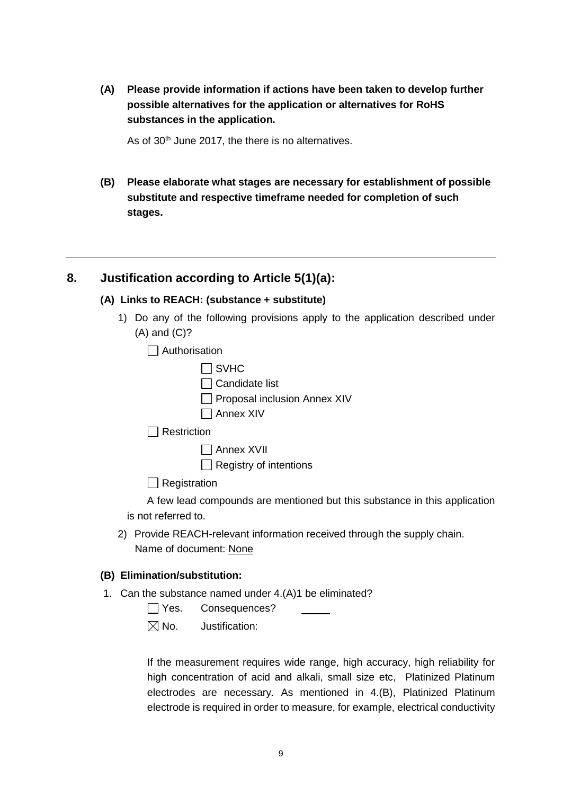**(A) Please provide information if actions have been taken to develop further possible alternatives for the application or alternatives for RoHS substances in the application.** 

As of 30<sup>th</sup> June 2017, the there is no alternatives.

**(B) Please elaborate what stages are necessary for establishment of possible substitute and respective timeframe needed for completion of such stages.**

#### **8. Justification according to Article 5(1)(a):**

#### **(A) Links to REACH: (substance + substitute)**

1) Do any of the following provisions apply to the application described under (A) and (C)?

□ Authorisation

| $\Box$ SVHC                  |
|------------------------------|
| $\Box$ Candidate list        |
| Proposal inclusion Annex XIV |
| $\Box$ Annex XIV             |
| ∼ti∩n                        |

 $\Box$  Restriction

Annex XVII

 $\Box$  Registry of intentions

 $\Box$  Registration

A few lead compounds are mentioned but this substance in this application is not referred to.

2) Provide REACH-relevant information received through the supply chain. Name of document: None

#### **(B) Elimination/substitution:**

1. Can the substance named under 4.(A)1 be eliminated?

| $\Box$ Yes. | Consequences? |
|-------------|---------------|
|-------------|---------------|

 $\boxtimes$  No. Justification:

If the measurement requires wide range, high accuracy, high reliability for high concentration of acid and alkali, small size etc, Platinized Platinum electrodes are necessary. As mentioned in 4.(B), Platinized Platinum electrode is required in order to measure, for example, electrical conductivity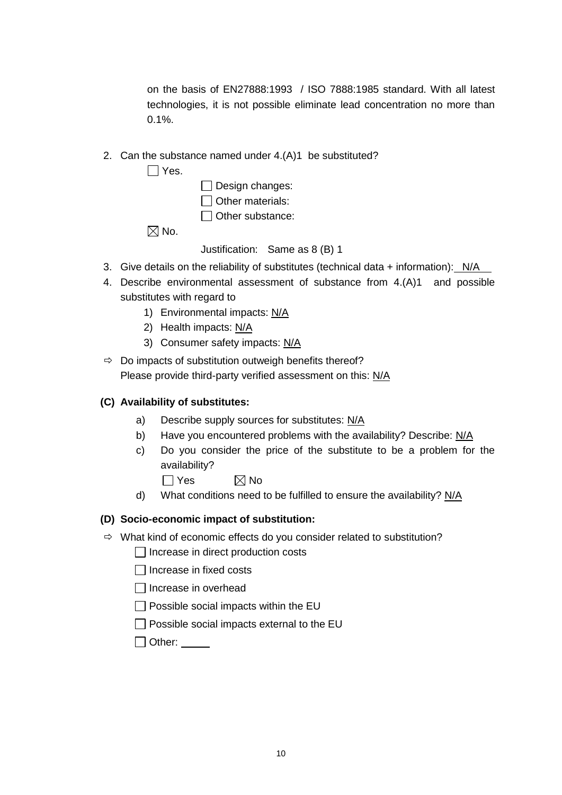on the basis of EN27888:1993 / ISO 7888:1985 standard. With all latest technologies, it is not possible eliminate lead concentration no more than 0.1%.

2. Can the substance named under 4.(A)1 be substituted?

 $\Box$  Yes.

| $\Box$ Design changes:  |
|-------------------------|
| $\Box$ Other materials: |
| $\Box$ Other substance: |

 $\boxtimes$  No.

Justification: Same as 8 (B) 1

- 3. Give details on the reliability of substitutes (technical data  $+$  information):  $N/A$
- 4. Describe environmental assessment of substance from 4.(A)1 and possible substitutes with regard to
	- 1) Environmental impacts: N/A
	- 2) Health impacts: N/A
	- 3) Consumer safety impacts: N/A
- $\Rightarrow$  Do impacts of substitution outweigh benefits thereof? Please provide third-party verified assessment on this: N/A

### **(C) Availability of substitutes:**

- a) Describe supply sources for substitutes: N/A
- b) Have you encountered problems with the availability? Describe: N/A
- c) Do you consider the price of the substitute to be a problem for the availability?
	- $\Box$  Yes  $\boxtimes$  No
- d) What conditions need to be fulfilled to ensure the availability?  $N/A$

#### **(D) Socio-economic impact of substitution:**

- $\Rightarrow$  What kind of economic effects do you consider related to substitution?
	- $\Box$  Increase in direct production costs
	- $\Box$  Increase in fixed costs
	- $\Box$  Increase in overhead
	- $\Box$  Possible social impacts within the EU
	- $\Box$  Possible social impacts external to the EU
	- Other: \_\_\_\_\_